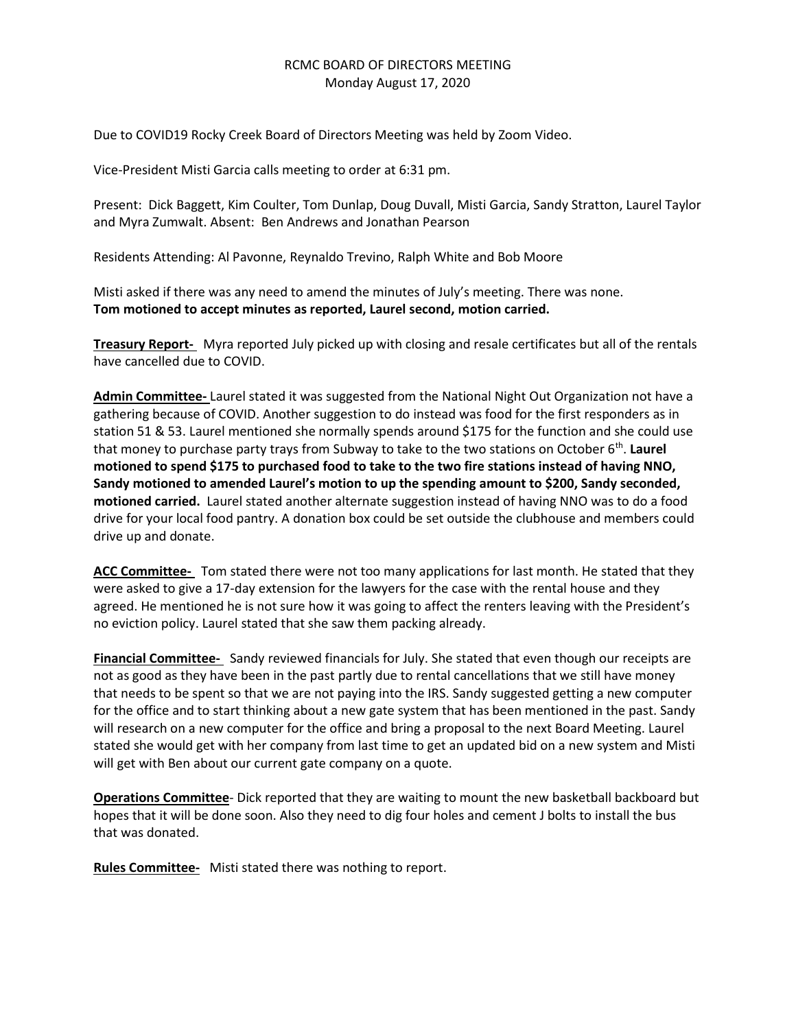## RCMC BOARD OF DIRECTORS MEETING Monday August 17, 2020

Due to COVID19 Rocky Creek Board of Directors Meeting was held by Zoom Video.

Vice-President Misti Garcia calls meeting to order at 6:31 pm.

Present: Dick Baggett, Kim Coulter, Tom Dunlap, Doug Duvall, Misti Garcia, Sandy Stratton, Laurel Taylor and Myra Zumwalt. Absent: Ben Andrews and Jonathan Pearson

Residents Attending: Al Pavonne, Reynaldo Trevino, Ralph White and Bob Moore

Misti asked if there was any need to amend the minutes of July's meeting. There was none. **Tom motioned to accept minutes as reported, Laurel second, motion carried.**

**Treasury Report-** Myra reported July picked up with closing and resale certificates but all of the rentals have cancelled due to COVID.

**Admin Committee-** Laurel stated it was suggested from the National Night Out Organization not have a gathering because of COVID. Another suggestion to do instead was food for the first responders as in station 51 & 53. Laurel mentioned she normally spends around \$175 for the function and she could use that money to purchase party trays from Subway to take to the two stations on October 6<sup>th</sup>. Laurel **motioned to spend \$175 to purchased food to take to the two fire stations instead of having NNO, Sandy motioned to amended Laurel's motion to up the spending amount to \$200, Sandy seconded, motioned carried.** Laurel stated another alternate suggestion instead of having NNO was to do a food drive for your local food pantry. A donation box could be set outside the clubhouse and members could drive up and donate.

**ACC Committee-** Tom stated there were not too many applications for last month. He stated that they were asked to give a 17-day extension for the lawyers for the case with the rental house and they agreed. He mentioned he is not sure how it was going to affect the renters leaving with the President's no eviction policy. Laurel stated that she saw them packing already.

**Financial Committee-** Sandy reviewed financials for July. She stated that even though our receipts are not as good as they have been in the past partly due to rental cancellations that we still have money that needs to be spent so that we are not paying into the IRS. Sandy suggested getting a new computer for the office and to start thinking about a new gate system that has been mentioned in the past. Sandy will research on a new computer for the office and bring a proposal to the next Board Meeting. Laurel stated she would get with her company from last time to get an updated bid on a new system and Misti will get with Ben about our current gate company on a quote.

**Operations Committee**- Dick reported that they are waiting to mount the new basketball backboard but hopes that it will be done soon. Also they need to dig four holes and cement J bolts to install the bus that was donated.

**Rules Committee-** Misti stated there was nothing to report.